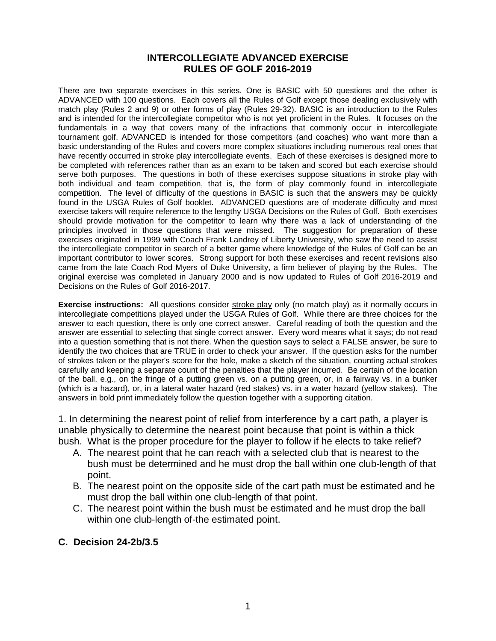#### **INTERCOLLEGIATE ADVANCED EXERCISE RULES OF GOLF 2016-2019**

There are two separate exercises in this series. One is BASIC with 50 questions and the other is ADVANCED with 100 questions. Each covers all the Rules of Golf except those dealing exclusively with match play (Rules 2 and 9) or other forms of play (Rules 29-32). BASIC is an introduction to the Rules and is intended for the intercollegiate competitor who is not yet proficient in the Rules. It focuses on the fundamentals in a way that covers many of the infractions that commonly occur in intercollegiate tournament golf. ADVANCED is intended for those competitors (and coaches) who want more than a basic understanding of the Rules and covers more complex situations including numerous real ones that have recently occurred in stroke play intercollegiate events. Each of these exercises is designed more to be completed with references rather than as an exam to be taken and scored but each exercise should serve both purposes. The questions in both of these exercises suppose situations in stroke play with both individual and team competition, that is, the form of play commonly found in intercollegiate competition. The level of difficulty of the questions in BASIC is such that the answers may be quickly found in the USGA Rules of Golf booklet. ADVANCED questions are of moderate difficulty and most exercise takers will require reference to the lengthy USGA Decisions on the Rules of Golf. Both exercises should provide motivation for the competitor to learn why there was a lack of understanding of the principles involved in those questions that were missed. The suggestion for preparation of these exercises originated in 1999 with Coach Frank Landrey of Liberty University, who saw the need to assist the intercollegiate competitor in search of a better game where knowledge of the Rules of Golf can be an important contributor to lower scores. Strong support for both these exercises and recent revisions also came from the late Coach Rod Myers of Duke University, a firm believer of playing by the Rules. The original exercise was completed in January 2000 and is now updated to Rules of Golf 2016-2019 and Decisions on the Rules of Golf 2016-2017.

**Exercise instructions:** All questions consider stroke play only (no match play) as it normally occurs in intercollegiate competitions played under the USGA Rules of Golf. While there are three choices for the answer to each question, there is only one correct answer. Careful reading of both the question and the answer are essential to selecting that single correct answer. Every word means what it says; do not read into a question something that is not there. When the question says to select a FALSE answer, be sure to identify the two choices that are TRUE in order to check your answer. If the question asks for the number of strokes taken or the player's score for the hole, make a sketch of the situation, counting actual strokes carefully and keeping a separate count of the penalties that the player incurred. Be certain of the location of the ball, e.g., on the fringe of a putting green vs. on a putting green, or, in a fairway vs. in a bunker (which is a hazard), or, in a lateral water hazard (red stakes) vs. in a water hazard (yellow stakes). The answers in bold print immediately follow the question together with a supporting citation.

1. In determining the nearest point of relief from interference by a cart path, a player is unable physically to determine the nearest point because that point is within a thick bush. What is the proper procedure for the player to follow if he elects to take relief?

- A. The nearest point that he can reach with a selected club that is nearest to the bush must be determined and he must drop the ball within one club-length of that point.
- B. The nearest point on the opposite side of the cart path must be estimated and he must drop the ball within one club-length of that point.
- C. The nearest point within the bush must be estimated and he must drop the ball within one club-length of-the estimated point.

#### **C. Decision 24-2b/3.5**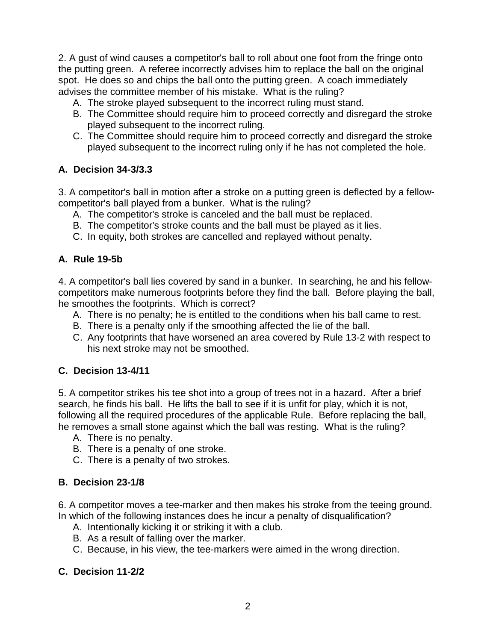2. A gust of wind causes a competitor's ball to roll about one foot from the fringe onto the putting green. A referee incorrectly advises him to replace the ball on the original spot. He does so and chips the ball onto the putting green. A coach immediately advises the committee member of his mistake. What is the ruling?

- A. The stroke played subsequent to the incorrect ruling must stand.
- B. The Committee should require him to proceed correctly and disregard the stroke played subsequent to the incorrect ruling.
- C. The Committee should require him to proceed correctly and disregard the stroke played subsequent to the incorrect ruling only if he has not completed the hole.

## **A. Decision 34-3/3.3**

3. A competitor's ball in motion after a stroke on a putting green is deflected by a fellowcompetitor's ball played from a bunker. What is the ruling?

- A. The competitor's stroke is canceled and the ball must be replaced.
- B. The competitor's stroke counts and the ball must be played as it lies.
- C. In equity, both strokes are cancelled and replayed without penalty.

## **A. Rule 19-5b**

4. A competitor's ball lies covered by sand in a bunker. In searching, he and his fellowcompetitors make numerous footprints before they find the ball. Before playing the ball, he smoothes the footprints. Which is correct?

- A. There is no penalty; he is entitled to the conditions when his ball came to rest.
- B. There is a penalty only if the smoothing affected the lie of the ball.
- C. Any footprints that have worsened an area covered by Rule 13-2 with respect to his next stroke may not be smoothed.

## **C. Decision 13-4/11**

5. A competitor strikes his tee shot into a group of trees not in a hazard. After a brief search, he finds his ball. He lifts the ball to see if it is unfit for play, which it is not, following all the required procedures of the applicable Rule. Before replacing the ball, he removes a small stone against which the ball was resting. What is the ruling?

- A. There is no penalty.
- B. There is a penalty of one stroke.
- C. There is a penalty of two strokes.

## **B. Decision 23-1/8**

6. A competitor moves a tee-marker and then makes his stroke from the teeing ground. In which of the following instances does he incur a penalty of disqualification?

- A. Intentionally kicking it or striking it with a club.
- B. As a result of falling over the marker.
- C. Because, in his view, the tee-markers were aimed in the wrong direction.

## **C. Decision 11-2/2**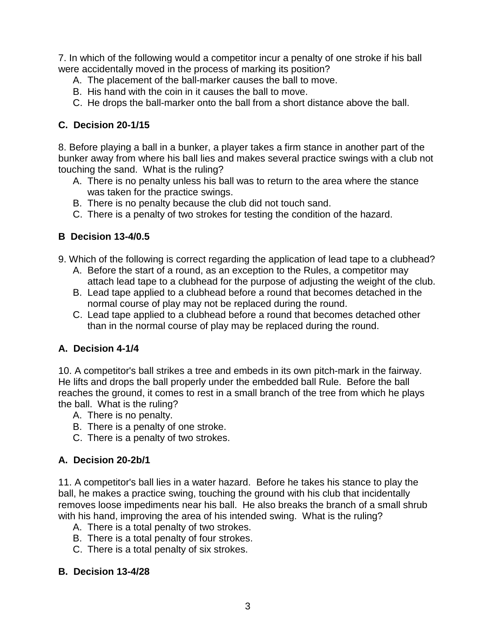7. In which of the following would a competitor incur a penalty of one stroke if his ball were accidentally moved in the process of marking its position?

- A. The placement of the ball-marker causes the ball to move.
- B. His hand with the coin in it causes the ball to move.
- C. He drops the ball-marker onto the ball from a short distance above the ball.

## **C. Decision 20-1/15**

8. Before playing a ball in a bunker, a player takes a firm stance in another part of the bunker away from where his ball lies and makes several practice swings with a club not touching the sand. What is the ruling?

- A. There is no penalty unless his ball was to return to the area where the stance was taken for the practice swings.
- B. There is no penalty because the club did not touch sand.
- C. There is a penalty of two strokes for testing the condition of the hazard.

## **B Decision 13-4/0.5**

- 9. Which of the following is correct regarding the application of lead tape to a clubhead?
	- A. Before the start of a round, as an exception to the Rules, a competitor may attach lead tape to a clubhead for the purpose of adjusting the weight of the club.
	- B. Lead tape applied to a clubhead before a round that becomes detached in the normal course of play may not be replaced during the round.
	- C. Lead tape applied to a clubhead before a round that becomes detached other than in the normal course of play may be replaced during the round.

## **A. Decision 4-1/4**

10. A competitor's ball strikes a tree and embeds in its own pitch-mark in the fairway. He lifts and drops the ball properly under the embedded ball Rule. Before the ball reaches the ground, it comes to rest in a small branch of the tree from which he plays the ball. What is the ruling?

- A. There is no penalty.
- B. There is a penalty of one stroke.
- C. There is a penalty of two strokes.

## **A. Decision 20-2b/1**

11. A competitor's ball lies in a water hazard. Before he takes his stance to play the ball, he makes a practice swing, touching the ground with his club that incidentally removes loose impediments near his ball. He also breaks the branch of a small shrub with his hand, improving the area of his intended swing. What is the ruling?

- A. There is a total penalty of two strokes.
- B. There is a total penalty of four strokes.
- C. There is a total penalty of six strokes.

#### **B. Decision 13-4/28**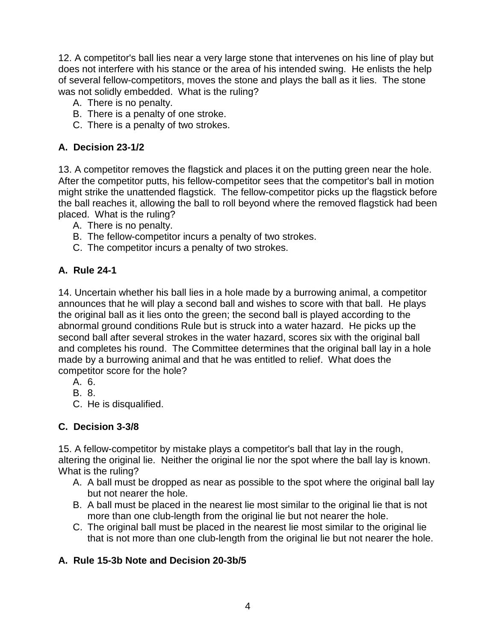12. A competitor's ball lies near a very large stone that intervenes on his line of play but does not interfere with his stance or the area of his intended swing. He enlists the help of several fellow-competitors, moves the stone and plays the ball as it lies. The stone was not solidly embedded. What is the ruling?

- A. There is no penalty.
- B. There is a penalty of one stroke.
- C. There is a penalty of two strokes.

## **A. Decision 23-1/2**

13. A competitor removes the flagstick and places it on the putting green near the hole. After the competitor putts, his fellow-competitor sees that the competitor's ball in motion might strike the unattended flagstick. The fellow-competitor picks up the flagstick before the ball reaches it, allowing the ball to roll beyond where the removed flagstick had been placed. What is the ruling?

- A. There is no penalty.
- B. The fellow-competitor incurs a penalty of two strokes.
- C. The competitor incurs a penalty of two strokes.

## **A. Rule 24-1**

14. Uncertain whether his ball lies in a hole made by a burrowing animal, a competitor announces that he will play a second ball and wishes to score with that ball. He plays the original ball as it lies onto the green; the second ball is played according to the abnormal ground conditions Rule but is struck into a water hazard. He picks up the second ball after several strokes in the water hazard, scores six with the original ball and completes his round. The Committee determines that the original ball lay in a hole made by a burrowing animal and that he was entitled to relief. What does the competitor score for the hole?

- A. 6.
- B. 8.
- C. He is disqualified.

## **C. Decision 3-3/8**

15. A fellow-competitor by mistake plays a competitor's ball that lay in the rough, altering the original lie. Neither the original lie nor the spot where the ball lay is known. What is the ruling?

- A. A ball must be dropped as near as possible to the spot where the original ball lay but not nearer the hole.
- B. A ball must be placed in the nearest lie most similar to the original lie that is not more than one club-length from the original lie but not nearer the hole.
- C. The original ball must be placed in the nearest lie most similar to the original lie that is not more than one club-length from the original lie but not nearer the hole.

## **A. Rule 15-3b Note and Decision 20-3b/5**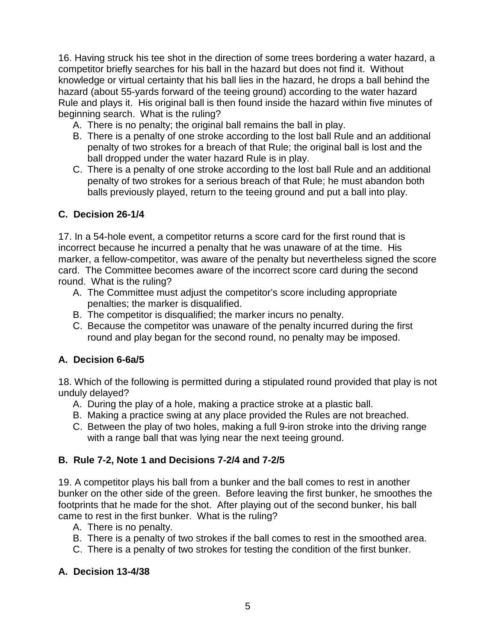16. Having struck his tee shot in the direction of some trees bordering a water hazard, a competitor briefly searches for his ball in the hazard but does not find it. Without knowledge or virtual certainty that his ball lies in the hazard, he drops a ball behind the hazard (about 55-yards forward of the teeing ground) according to the water hazard Rule and plays it. His original ball is then found inside the hazard within five minutes of beginning search. What is the ruling?

- A. There is no penalty; the original ball remains the ball in play.
- B. There is a penalty of one stroke according to the lost ball Rule and an additional penalty of two strokes for a breach of that Rule; the original ball is lost and the ball dropped under the water hazard Rule is in play.
- C. There is a penalty of one stroke according to the lost ball Rule and an additional penalty of two strokes for a serious breach of that Rule; he must abandon both balls previously played, return to the teeing ground and put a ball into play.

## **C. Decision 26-1/4**

17. In a 54-hole event, a competitor returns a score card for the first round that is incorrect because he incurred a penalty that he was unaware of at the time. His marker, a fellow-competitor, was aware of the penalty but nevertheless signed the score card. The Committee becomes aware of the incorrect score card during the second round. What is the ruling?

- A. The Committee must adjust the competitor's score including appropriate penalties; the marker is disqualified.
- B. The competitor is disqualified; the marker incurs no penalty.
- C. Because the competitor was unaware of the penalty incurred during the first round and play began for the second round, no penalty may be imposed.

# **A. Decision 6-6a/5**

18. Which of the following is permitted during a stipulated round provided that play is not unduly delayed?

- A. During the play of a hole, making a practice stroke at a plastic ball.
- B. Making a practice swing at any place provided the Rules are not breached.
- C. Between the play of two holes, making a full 9-iron stroke into the driving range with a range ball that was lying near the next teeing ground.

## **B. Rule 7-2, Note 1 and Decisions 7-2/4 and 7-2/5**

19. A competitor plays his ball from a bunker and the ball comes to rest in another bunker on the other side of the green. Before leaving the first bunker, he smoothes the footprints that he made for the shot. After playing out of the second bunker, his ball came to rest in the first bunker. What is the ruling?

- A. There is no penalty.
- B. There is a penalty of two strokes if the ball comes to rest in the smoothed area.
- C. There is a penalty of two strokes for testing the condition of the first bunker.

## **A. Decision 13-4/38**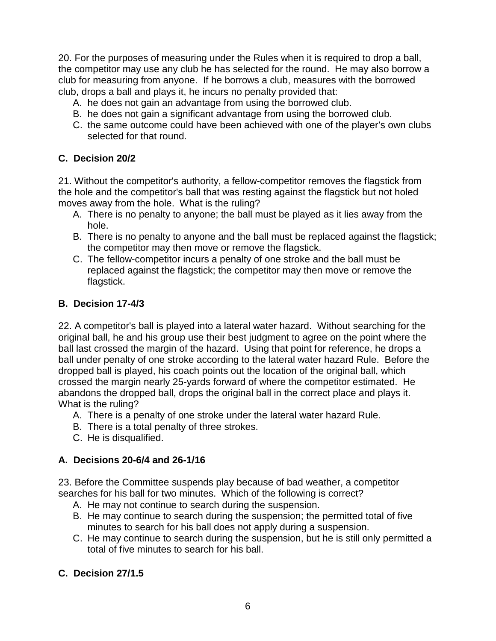20. For the purposes of measuring under the Rules when it is required to drop a ball, the competitor may use any club he has selected for the round. He may also borrow a club for measuring from anyone. If he borrows a club, measures with the borrowed club, drops a ball and plays it, he incurs no penalty provided that:

- A. he does not gain an advantage from using the borrowed club.
- B. he does not gain a significant advantage from using the borrowed club.
- C. the same outcome could have been achieved with one of the player's own clubs selected for that round.

#### **C. Decision 20/2**

21. Without the competitor's authority, a fellow-competitor removes the flagstick from the hole and the competitor's ball that was resting against the flagstick but not holed moves away from the hole. What is the ruling?

- A. There is no penalty to anyone; the ball must be played as it lies away from the hole.
- B. There is no penalty to anyone and the ball must be replaced against the flagstick; the competitor may then move or remove the flagstick.
- C. The fellow-competitor incurs a penalty of one stroke and the ball must be replaced against the flagstick; the competitor may then move or remove the flagstick.

#### **B. Decision 17-4/3**

22. A competitor's ball is played into a lateral water hazard. Without searching for the original ball, he and his group use their best judgment to agree on the point where the ball last crossed the margin of the hazard. Using that point for reference, he drops a ball under penalty of one stroke according to the lateral water hazard Rule. Before the dropped ball is played, his coach points out the location of the original ball, which crossed the margin nearly 25-yards forward of where the competitor estimated. He abandons the dropped ball, drops the original ball in the correct place and plays it. What is the ruling?

- A. There is a penalty of one stroke under the lateral water hazard Rule.
- B. There is a total penalty of three strokes.
- C. He is disqualified.

## **A. Decisions 20-6/4 and 26-1/16**

23. Before the Committee suspends play because of bad weather, a competitor searches for his ball for two minutes. Which of the following is correct?

- A. He may not continue to search during the suspension.
- B. He may continue to search during the suspension; the permitted total of five minutes to search for his ball does not apply during a suspension.
- C. He may continue to search during the suspension, but he is still only permitted a total of five minutes to search for his ball.

## **C. Decision 27/1.5**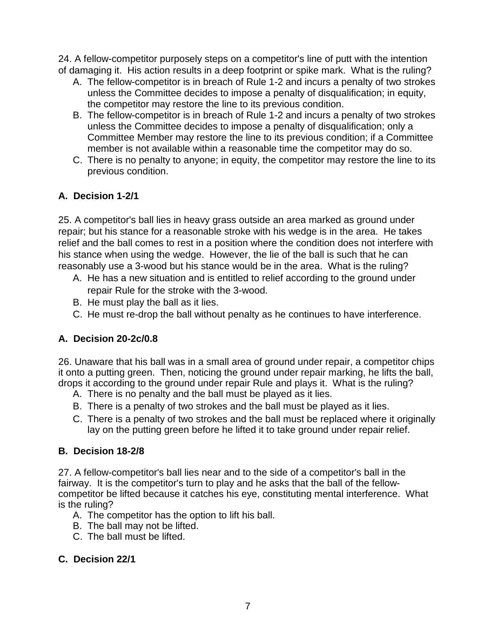24. A fellow-competitor purposely steps on a competitor's line of putt with the intention of damaging it. His action results in a deep footprint or spike mark. What is the ruling?

- A. The fellow-competitor is in breach of Rule 1-2 and incurs a penalty of two strokes unless the Committee decides to impose a penalty of disqualification; in equity, the competitor may restore the line to its previous condition.
- B. The fellow-competitor is in breach of Rule 1-2 and incurs a penalty of two strokes unless the Committee decides to impose a penalty of disqualification; only a Committee Member may restore the line to its previous condition; if a Committee member is not available within a reasonable time the competitor may do so.
- C. There is no penalty to anyone; in equity, the competitor may restore the line to its previous condition.

# **A. Decision 1-2/1**

25. A competitor's ball lies in heavy grass outside an area marked as ground under repair; but his stance for a reasonable stroke with his wedge is in the area. He takes relief and the ball comes to rest in a position where the condition does not interfere with his stance when using the wedge. However, the lie of the ball is such that he can reasonably use a 3-wood but his stance would be in the area. What is the ruling?

- A. He has a new situation and is entitled to relief according to the ground under repair Rule for the stroke with the 3-wood.
- B. He must play the ball as it lies.
- C. He must re-drop the ball without penalty as he continues to have interference.

# **A. Decision 20-2c/0.8**

26. Unaware that his ball was in a small area of ground under repair, a competitor chips it onto a putting green. Then, noticing the ground under repair marking, he lifts the ball, drops it according to the ground under repair Rule and plays it. What is the ruling?

- A. There is no penalty and the ball must be played as it lies.
- B. There is a penalty of two strokes and the ball must be played as it lies.
- C. There is a penalty of two strokes and the ball must be replaced where it originally lay on the putting green before he lifted it to take ground under repair relief.

# **B. Decision 18-2/8**

27. A fellow-competitor's ball lies near and to the side of a competitor's ball in the fairway. It is the competitor's turn to play and he asks that the ball of the fellowcompetitor be lifted because it catches his eye, constituting mental interference. What is the ruling?

- A. The competitor has the option to lift his ball.
- B. The ball may not be lifted.
- C. The ball must be lifted.

# **C. Decision 22/1**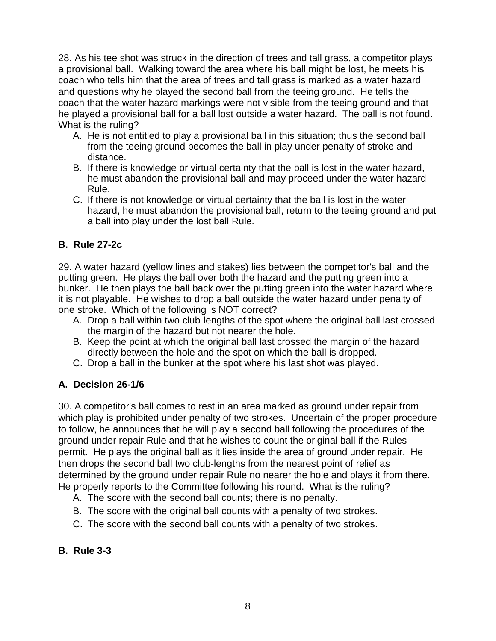28. As his tee shot was struck in the direction of trees and tall grass, a competitor plays a provisional ball. Walking toward the area where his ball might be lost, he meets his coach who tells him that the area of trees and tall grass is marked as a water hazard and questions why he played the second ball from the teeing ground. He tells the coach that the water hazard markings were not visible from the teeing ground and that he played a provisional ball for a ball lost outside a water hazard. The ball is not found. What is the ruling?

- A. He is not entitled to play a provisional ball in this situation; thus the second ball from the teeing ground becomes the ball in play under penalty of stroke and distance.
- B. If there is knowledge or virtual certainty that the ball is lost in the water hazard, he must abandon the provisional ball and may proceed under the water hazard Rule.
- C. If there is not knowledge or virtual certainty that the ball is lost in the water hazard, he must abandon the provisional ball, return to the teeing ground and put a ball into play under the lost ball Rule.

## **B. Rule 27-2c**

29. A water hazard (yellow lines and stakes) lies between the competitor's ball and the putting green. He plays the ball over both the hazard and the putting green into a bunker. He then plays the ball back over the putting green into the water hazard where it is not playable. He wishes to drop a ball outside the water hazard under penalty of one stroke. Which of the following is NOT correct?

- A. Drop a ball within two club-lengths of the spot where the original ball last crossed the margin of the hazard but not nearer the hole.
- B. Keep the point at which the original ball last crossed the margin of the hazard directly between the hole and the spot on which the ball is dropped.
- C. Drop a ball in the bunker at the spot where his last shot was played.

## **A. Decision 26-1/6**

30. A competitor's ball comes to rest in an area marked as ground under repair from which play is prohibited under penalty of two strokes. Uncertain of the proper procedure to follow, he announces that he will play a second ball following the procedures of the ground under repair Rule and that he wishes to count the original ball if the Rules permit. He plays the original ball as it lies inside the area of ground under repair. He then drops the second ball two club-lengths from the nearest point of relief as determined by the ground under repair Rule no nearer the hole and plays it from there. He properly reports to the Committee following his round. What is the ruling?

- A. The score with the second ball counts; there is no penalty.
- B. The score with the original ball counts with a penalty of two strokes.
- C. The score with the second ball counts with a penalty of two strokes.

## **B. Rule 3-3**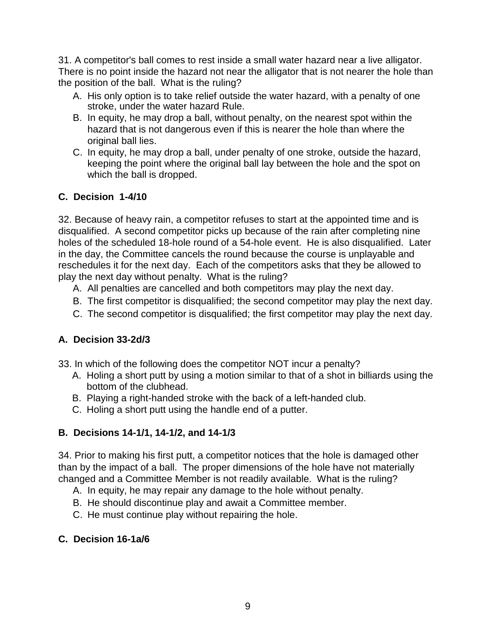31. A competitor's ball comes to rest inside a small water hazard near a live alligator. There is no point inside the hazard not near the alligator that is not nearer the hole than the position of the ball. What is the ruling?

- A. His only option is to take relief outside the water hazard, with a penalty of one stroke, under the water hazard Rule.
- B. In equity, he may drop a ball, without penalty, on the nearest spot within the hazard that is not dangerous even if this is nearer the hole than where the original ball lies.
- C. In equity, he may drop a ball, under penalty of one stroke, outside the hazard, keeping the point where the original ball lay between the hole and the spot on which the ball is dropped.

## **C. Decision 1-4/10**

32. Because of heavy rain, a competitor refuses to start at the appointed time and is disqualified. A second competitor picks up because of the rain after completing nine holes of the scheduled 18-hole round of a 54-hole event. He is also disqualified. Later in the day, the Committee cancels the round because the course is unplayable and reschedules it for the next day. Each of the competitors asks that they be allowed to play the next day without penalty. What is the ruling?

- A. All penalties are cancelled and both competitors may play the next day.
- B. The first competitor is disqualified; the second competitor may play the next day.
- C. The second competitor is disqualified; the first competitor may play the next day.

# **A. Decision 33-2d/3**

- 33. In which of the following does the competitor NOT incur a penalty?
	- A. Holing a short putt by using a motion similar to that of a shot in billiards using the bottom of the clubhead.
	- B. Playing a right-handed stroke with the back of a left-handed club.
	- C. Holing a short putt using the handle end of a putter.

# **B. Decisions 14-1/1, 14-1/2, and 14-1/3**

34. Prior to making his first putt, a competitor notices that the hole is damaged other than by the impact of a ball. The proper dimensions of the hole have not materially changed and a Committee Member is not readily available. What is the ruling?

- A. In equity, he may repair any damage to the hole without penalty.
- B. He should discontinue play and await a Committee member.
- C. He must continue play without repairing the hole.

# **C. Decision 16-1a/6**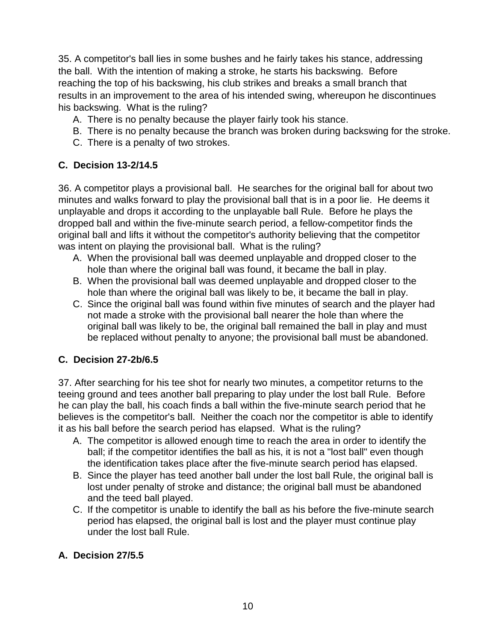35. A competitor's ball lies in some bushes and he fairly takes his stance, addressing the ball. With the intention of making a stroke, he starts his backswing. Before reaching the top of his backswing, his club strikes and breaks a small branch that results in an improvement to the area of his intended swing, whereupon he discontinues his backswing. What is the ruling?

- A. There is no penalty because the player fairly took his stance.
- B. There is no penalty because the branch was broken during backswing for the stroke.
- C. There is a penalty of two strokes.

## **C. Decision 13-2/14.5**

36. A competitor plays a provisional ball. He searches for the original ball for about two minutes and walks forward to play the provisional ball that is in a poor lie. He deems it unplayable and drops it according to the unplayable ball Rule. Before he plays the dropped ball and within the five-minute search period, a fellow-competitor finds the original ball and lifts it without the competitor's authority believing that the competitor was intent on playing the provisional ball. What is the ruling?

- A. When the provisional ball was deemed unplayable and dropped closer to the hole than where the original ball was found, it became the ball in play.
- B. When the provisional ball was deemed unplayable and dropped closer to the hole than where the original ball was likely to be, it became the ball in play.
- C. Since the original ball was found within five minutes of search and the player had not made a stroke with the provisional ball nearer the hole than where the original ball was likely to be, the original ball remained the ball in play and must be replaced without penalty to anyone; the provisional ball must be abandoned.

## **C. Decision 27-2b/6.5**

37. After searching for his tee shot for nearly two minutes, a competitor returns to the teeing ground and tees another ball preparing to play under the lost ball Rule. Before he can play the ball, his coach finds a ball within the five-minute search period that he believes is the competitor's ball. Neither the coach nor the competitor is able to identify it as his ball before the search period has elapsed. What is the ruling?

- A. The competitor is allowed enough time to reach the area in order to identify the ball; if the competitor identifies the ball as his, it is not a "lost ball" even though the identification takes place after the five-minute search period has elapsed.
- B. Since the player has teed another ball under the lost ball Rule, the original ball is lost under penalty of stroke and distance; the original ball must be abandoned and the teed ball played.
- C. If the competitor is unable to identify the ball as his before the five-minute search period has elapsed, the original ball is lost and the player must continue play under the lost ball Rule.

## **A. Decision 27/5.5**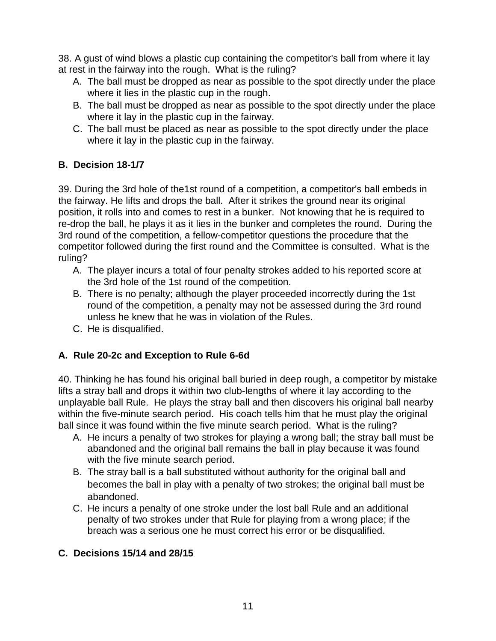38. A gust of wind blows a plastic cup containing the competitor's ball from where it lay at rest in the fairway into the rough. What is the ruling?

- A. The ball must be dropped as near as possible to the spot directly under the place where it lies in the plastic cup in the rough.
- B. The ball must be dropped as near as possible to the spot directly under the place where it lay in the plastic cup in the fairway.
- C. The ball must be placed as near as possible to the spot directly under the place where it lay in the plastic cup in the fairway.

# **B. Decision 18-1/7**

39. During the 3rd hole of the1st round of a competition, a competitor's ball embeds in the fairway. He lifts and drops the ball. After it strikes the ground near its original position, it rolls into and comes to rest in a bunker. Not knowing that he is required to re-drop the ball, he plays it as it lies in the bunker and completes the round. During the 3rd round of the competition, a fellow-competitor questions the procedure that the competitor followed during the first round and the Committee is consulted. What is the ruling?

- A. The player incurs a total of four penalty strokes added to his reported score at the 3rd hole of the 1st round of the competition.
- B. There is no penalty; although the player proceeded incorrectly during the 1st round of the competition, a penalty may not be assessed during the 3rd round unless he knew that he was in violation of the Rules.
- C. He is disqualified.

# **A. Rule 20-2c and Exception to Rule 6-6d**

40. Thinking he has found his original ball buried in deep rough, a competitor by mistake lifts a stray ball and drops it within two club-lengths of where it lay according to the unplayable ball Rule. He plays the stray ball and then discovers his original ball nearby within the five-minute search period. His coach tells him that he must play the original ball since it was found within the five minute search period. What is the ruling?

- A. He incurs a penalty of two strokes for playing a wrong ball; the stray ball must be abandoned and the original ball remains the ball in play because it was found with the five minute search period.
- B. The stray ball is a ball substituted without authority for the original ball and becomes the ball in play with a penalty of two strokes; the original ball must be abandoned.
- C. He incurs a penalty of one stroke under the lost ball Rule and an additional penalty of two strokes under that Rule for playing from a wrong place; if the breach was a serious one he must correct his error or be disqualified.

# **C. Decisions 15/14 and 28/15**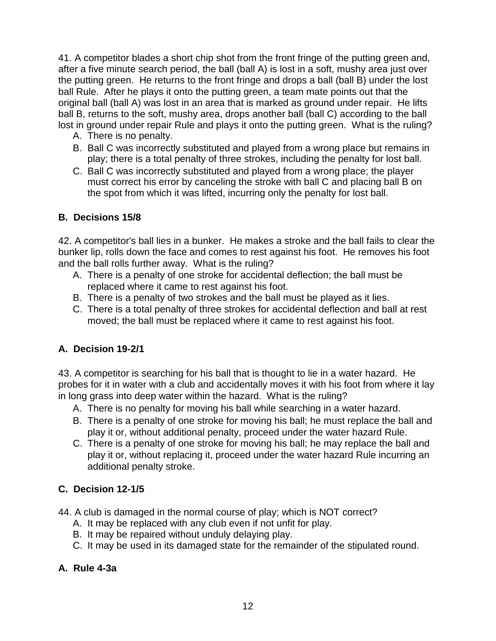41. A competitor blades a short chip shot from the front fringe of the putting green and, after a five minute search period, the ball (ball A) is lost in a soft, mushy area just over the putting green. He returns to the front fringe and drops a ball (ball B) under the lost ball Rule. After he plays it onto the putting green, a team mate points out that the original ball (ball A) was lost in an area that is marked as ground under repair. He lifts ball B, returns to the soft, mushy area, drops another ball (ball C) according to the ball lost in ground under repair Rule and plays it onto the putting green. What is the ruling?

- A. There is no penalty.
- B. Ball C was incorrectly substituted and played from a wrong place but remains in play; there is a total penalty of three strokes, including the penalty for lost ball.
- C. Ball C was incorrectly substituted and played from a wrong place; the player must correct his error by canceling the stroke with ball C and placing ball B on the spot from which it was lifted, incurring only the penalty for lost ball.

## **B. Decisions 15/8**

42. A competitor's ball lies in a bunker. He makes a stroke and the ball fails to clear the bunker lip, rolls down the face and comes to rest against his foot. He removes his foot and the ball rolls further away. What is the ruling?

- A. There is a penalty of one stroke for accidental deflection; the ball must be replaced where it came to rest against his foot.
- B. There is a penalty of two strokes and the ball must be played as it lies.
- C. There is a total penalty of three strokes for accidental deflection and ball at rest moved; the ball must be replaced where it came to rest against his foot.

# **A. Decision 19-2/1**

43. A competitor is searching for his ball that is thought to lie in a water hazard. He probes for it in water with a club and accidentally moves it with his foot from where it lay in long grass into deep water within the hazard. What is the ruling?

- A. There is no penalty for moving his ball while searching in a water hazard.
- B. There is a penalty of one stroke for moving his ball; he must replace the ball and play it or, without additional penalty, proceed under the water hazard Rule.
- C. There is a penalty of one stroke for moving his ball; he may replace the ball and play it or, without replacing it, proceed under the water hazard Rule incurring an additional penalty stroke.

# **C. Decision 12-1/5**

44. A club is damaged in the normal course of play; which is NOT correct?

- A. It may be replaced with any club even if not unfit for play.
- B. It may be repaired without unduly delaying play.
- C. It may be used in its damaged state for the remainder of the stipulated round.

## **A. Rule 4-3a**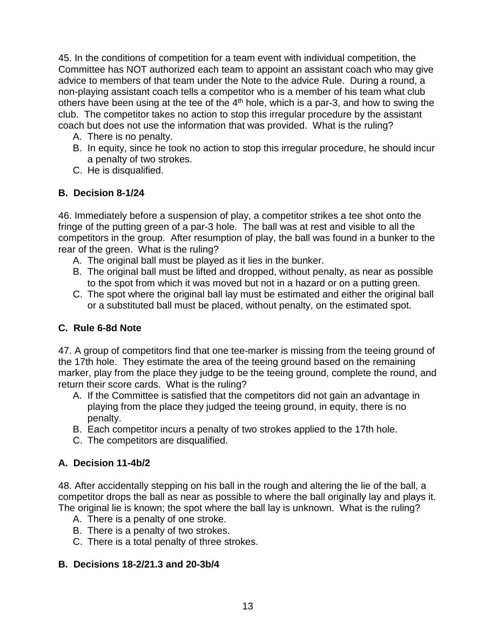45. In the conditions of competition for a team event with individual competition, the Committee has NOT authorized each team to appoint an assistant coach who may give advice to members of that team under the Note to the advice Rule. During a round, a non-playing assistant coach tells a competitor who is a member of his team what club others have been using at the tee of the  $4<sup>th</sup>$  hole, which is a par-3, and how to swing the club. The competitor takes no action to stop this irregular procedure by the assistant coach but does not use the information that was provided. What is the ruling?

- A. There is no penalty.
- B. In equity, since he took no action to stop this irregular procedure, he should incur a penalty of two strokes.
- C. He is disqualified.

## **B. Decision 8-1/24**

46. Immediately before a suspension of play, a competitor strikes a tee shot onto the fringe of the putting green of a par-3 hole. The ball was at rest and visible to all the competitors in the group. After resumption of play, the ball was found in a bunker to the rear of the green. What is the ruling?

- A. The original ball must be played as it lies in the bunker.
- B. The original ball must be lifted and dropped, without penalty, as near as possible to the spot from which it was moved but not in a hazard or on a putting green.
- C. The spot where the original ball lay must be estimated and either the original ball or a substituted ball must be placed, without penalty, on the estimated spot.

#### **C. Rule 6-8d Note**

47. A group of competitors find that one tee-marker is missing from the teeing ground of the 17th hole. They estimate the area of the teeing ground based on the remaining marker, play from the place they judge to be the teeing ground, complete the round, and return their score cards. What is the ruling?

- A. If the Committee is satisfied that the competitors did not gain an advantage in playing from the place they judged the teeing ground, in equity, there is no penalty.
- B. Each competitor incurs a penalty of two strokes applied to the 17th hole.
- C. The competitors are disqualified.

## **A. Decision 11-4b/2**

48. After accidentally stepping on his ball in the rough and altering the lie of the ball, a competitor drops the ball as near as possible to where the ball originally lay and plays it. The original lie is known; the spot where the ball lay is unknown. What is the ruling?

- A. There is a penalty of one stroke.
- B. There is a penalty of two strokes.
- C. There is a total penalty of three strokes.

#### **B. Decisions 18-2/21.3 and 20-3b/4**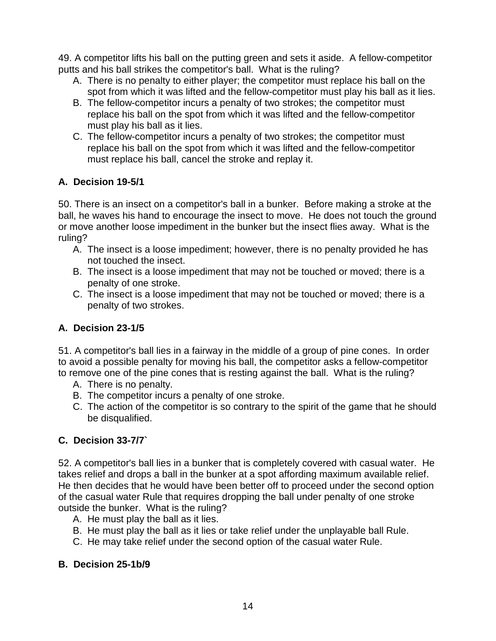49. A competitor lifts his ball on the putting green and sets it aside. A fellow-competitor putts and his ball strikes the competitor's ball. What is the ruling?

- A. There is no penalty to either player; the competitor must replace his ball on the spot from which it was lifted and the fellow-competitor must play his ball as it lies.
- B. The fellow-competitor incurs a penalty of two strokes; the competitor must replace his ball on the spot from which it was lifted and the fellow-competitor must play his ball as it lies.
- C. The fellow-competitor incurs a penalty of two strokes; the competitor must replace his ball on the spot from which it was lifted and the fellow-competitor must replace his ball, cancel the stroke and replay it.

# **A. Decision 19-5/1**

50. There is an insect on a competitor's ball in a bunker. Before making a stroke at the ball, he waves his hand to encourage the insect to move. He does not touch the ground or move another loose impediment in the bunker but the insect flies away. What is the ruling?

- A. The insect is a loose impediment; however, there is no penalty provided he has not touched the insect.
- B. The insect is a loose impediment that may not be touched or moved; there is a penalty of one stroke.
- C. The insect is a loose impediment that may not be touched or moved; there is a penalty of two strokes.

# **A. Decision 23-1/5**

51. A competitor's ball lies in a fairway in the middle of a group of pine cones. In order to avoid a possible penalty for moving his ball, the competitor asks a fellow-competitor to remove one of the pine cones that is resting against the ball. What is the ruling?

- A. There is no penalty.
- B. The competitor incurs a penalty of one stroke.
- C. The action of the competitor is so contrary to the spirit of the game that he should be disqualified.

# **C. Decision 33-7/7`**

52. A competitor's ball lies in a bunker that is completely covered with casual water. He takes relief and drops a ball in the bunker at a spot affording maximum available relief. He then decides that he would have been better off to proceed under the second option of the casual water Rule that requires dropping the ball under penalty of one stroke outside the bunker. What is the ruling?

- A. He must play the ball as it lies.
- B. He must play the ball as it lies or take relief under the unplayable ball Rule.
- C. He may take relief under the second option of the casual water Rule.

# **B. Decision 25-1b/9**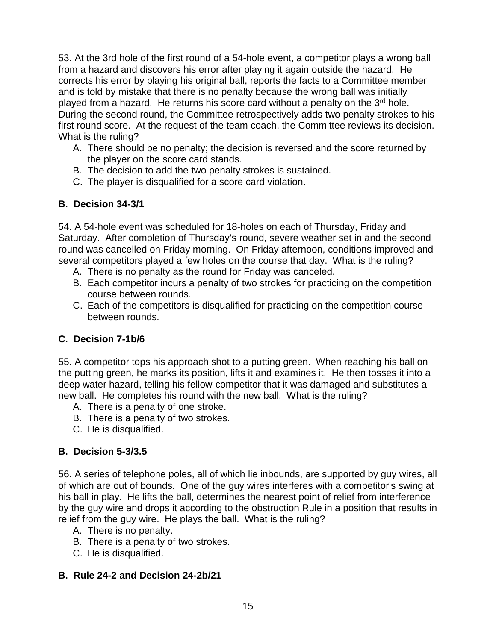53. At the 3rd hole of the first round of a 54-hole event, a competitor plays a wrong ball from a hazard and discovers his error after playing it again outside the hazard. He corrects his error by playing his original ball, reports the facts to a Committee member and is told by mistake that there is no penalty because the wrong ball was initially played from a hazard. He returns his score card without a penalty on the  $3<sup>rd</sup>$  hole. During the second round, the Committee retrospectively adds two penalty strokes to his first round score. At the request of the team coach, the Committee reviews its decision. What is the ruling?

- A. There should be no penalty; the decision is reversed and the score returned by the player on the score card stands.
- B. The decision to add the two penalty strokes is sustained.
- C. The player is disqualified for a score card violation.

## **B. Decision 34-3/1**

54. A 54-hole event was scheduled for 18-holes on each of Thursday, Friday and Saturday. After completion of Thursday's round, severe weather set in and the second round was cancelled on Friday morning. On Friday afternoon, conditions improved and several competitors played a few holes on the course that day. What is the ruling?

- A. There is no penalty as the round for Friday was canceled.
- B. Each competitor incurs a penalty of two strokes for practicing on the competition course between rounds.
- C. Each of the competitors is disqualified for practicing on the competition course between rounds.

# **C. Decision 7-1b/6**

55. A competitor tops his approach shot to a putting green. When reaching his ball on the putting green, he marks its position, lifts it and examines it. He then tosses it into a deep water hazard, telling his fellow-competitor that it was damaged and substitutes a new ball. He completes his round with the new ball. What is the ruling?

- A. There is a penalty of one stroke.
- B. There is a penalty of two strokes.
- C. He is disqualified.

# **B. Decision 5-3/3.5**

56. A series of telephone poles, all of which lie inbounds, are supported by guy wires, all of which are out of bounds. One of the guy wires interferes with a competitor's swing at his ball in play. He lifts the ball, determines the nearest point of relief from interference by the guy wire and drops it according to the obstruction Rule in a position that results in relief from the guy wire. He plays the ball. What is the ruling?

- A. There is no penalty.
- B. There is a penalty of two strokes.
- C. He is disqualified.

## **B. Rule 24-2 and Decision 24-2b/21**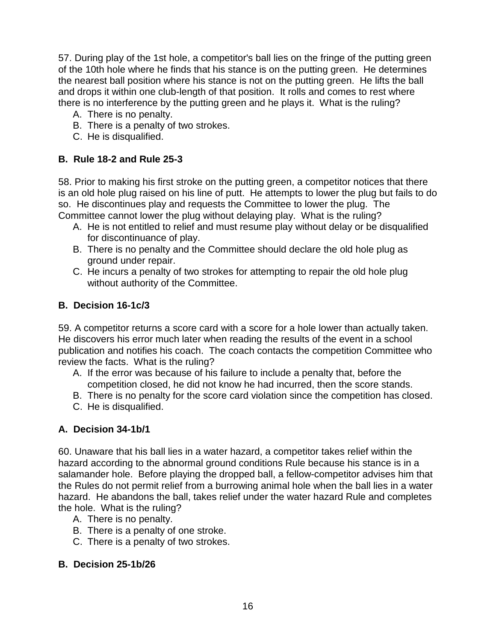57. During play of the 1st hole, a competitor's ball lies on the fringe of the putting green of the 10th hole where he finds that his stance is on the putting green. He determines the nearest ball position where his stance is not on the putting green. He lifts the ball and drops it within one club-length of that position. It rolls and comes to rest where there is no interference by the putting green and he plays it. What is the ruling?

- A. There is no penalty.
- B. There is a penalty of two strokes.
- C. He is disqualified.

#### **B. Rule 18-2 and Rule 25-3**

58. Prior to making his first stroke on the putting green, a competitor notices that there is an old hole plug raised on his line of putt. He attempts to lower the plug but fails to do so. He discontinues play and requests the Committee to lower the plug. The Committee cannot lower the plug without delaying play. What is the ruling?

- A. He is not entitled to relief and must resume play without delay or be disqualified for discontinuance of play.
- B. There is no penalty and the Committee should declare the old hole plug as ground under repair.
- C. He incurs a penalty of two strokes for attempting to repair the old hole plug without authority of the Committee.

#### **B. Decision 16-1c/3**

59. A competitor returns a score card with a score for a hole lower than actually taken. He discovers his error much later when reading the results of the event in a school publication and notifies his coach. The coach contacts the competition Committee who review the facts. What is the ruling?

- A. If the error was because of his failure to include a penalty that, before the competition closed, he did not know he had incurred, then the score stands.
- B. There is no penalty for the score card violation since the competition has closed.
- C. He is disqualified.

## **A. Decision 34-1b/1**

60. Unaware that his ball lies in a water hazard, a competitor takes relief within the hazard according to the abnormal ground conditions Rule because his stance is in a salamander hole. Before playing the dropped ball, a fellow-competitor advises him that the Rules do not permit relief from a burrowing animal hole when the ball lies in a water hazard. He abandons the ball, takes relief under the water hazard Rule and completes the hole. What is the ruling?

- A. There is no penalty.
- B. There is a penalty of one stroke.
- C. There is a penalty of two strokes.

#### **B. Decision 25-1b/26**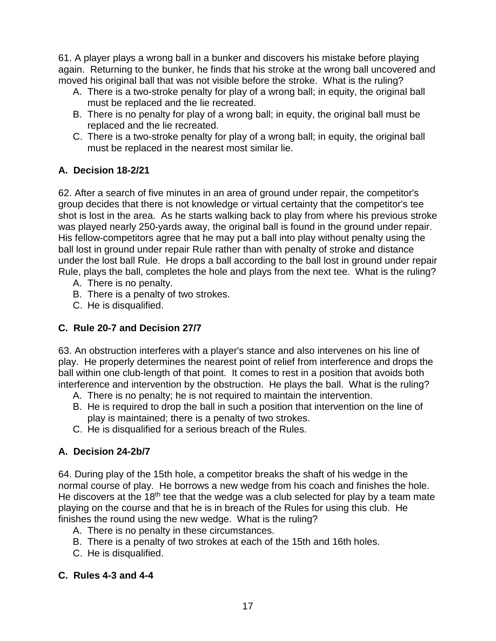61. A player plays a wrong ball in a bunker and discovers his mistake before playing again. Returning to the bunker, he finds that his stroke at the wrong ball uncovered and moved his original ball that was not visible before the stroke. What is the ruling?

- A. There is a two-stroke penalty for play of a wrong ball; in equity, the original ball must be replaced and the lie recreated.
- B. There is no penalty for play of a wrong ball; in equity, the original ball must be replaced and the lie recreated.
- C. There is a two-stroke penalty for play of a wrong ball; in equity, the original ball must be replaced in the nearest most similar lie.

# **A. Decision 18-2/21**

62. After a search of five minutes in an area of ground under repair, the competitor's group decides that there is not knowledge or virtual certainty that the competitor's tee shot is lost in the area. As he starts walking back to play from where his previous stroke was played nearly 250-yards away, the original ball is found in the ground under repair. His fellow-competitors agree that he may put a ball into play without penalty using the ball lost in ground under repair Rule rather than with penalty of stroke and distance under the lost ball Rule. He drops a ball according to the ball lost in ground under repair Rule, plays the ball, completes the hole and plays from the next tee. What is the ruling?

- A. There is no penalty.
- B. There is a penalty of two strokes.
- C. He is disqualified.

# **C. Rule 20-7 and Decision 27/7**

63. An obstruction interferes with a player's stance and also intervenes on his line of play. He properly determines the nearest point of relief from interference and drops the ball within one club-length of that point. It comes to rest in a position that avoids both interference and intervention by the obstruction. He plays the ball. What is the ruling?

- A. There is no penalty; he is not required to maintain the intervention.
- B. He is required to drop the ball in such a position that intervention on the line of play is maintained; there is a penalty of two strokes.
- C. He is disqualified for a serious breach of the Rules.

# **A. Decision 24-2b/7**

64. During play of the 15th hole, a competitor breaks the shaft of his wedge in the normal course of play. He borrows a new wedge from his coach and finishes the hole. He discovers at the 18<sup>th</sup> tee that the wedge was a club selected for play by a team mate playing on the course and that he is in breach of the Rules for using this club. He finishes the round using the new wedge. What is the ruling?

- A. There is no penalty in these circumstances.
- B. There is a penalty of two strokes at each of the 15th and 16th holes.
- C. He is disqualified.

## **C. Rules 4-3 and 4-4**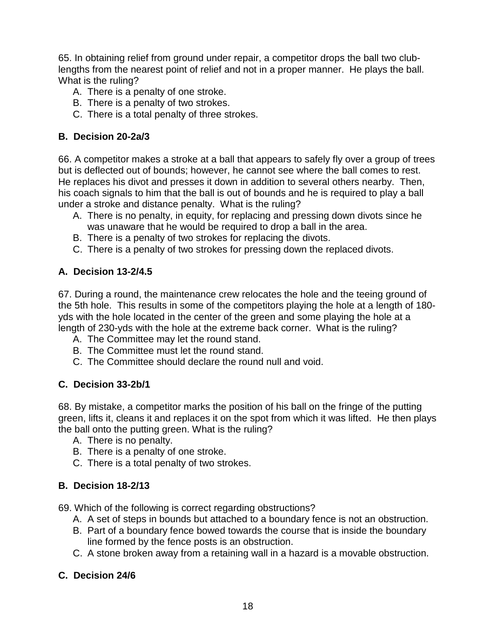65. In obtaining relief from ground under repair, a competitor drops the ball two clublengths from the nearest point of relief and not in a proper manner. He plays the ball. What is the ruling?

- A. There is a penalty of one stroke.
- B. There is a penalty of two strokes.
- C. There is a total penalty of three strokes.

#### **B. Decision 20-2a/3**

66. A competitor makes a stroke at a ball that appears to safely fly over a group of trees but is deflected out of bounds; however, he cannot see where the ball comes to rest. He replaces his divot and presses it down in addition to several others nearby. Then, his coach signals to him that the ball is out of bounds and he is required to play a ball under a stroke and distance penalty. What is the ruling?

- A. There is no penalty, in equity, for replacing and pressing down divots since he was unaware that he would be required to drop a ball in the area.
- B. There is a penalty of two strokes for replacing the divots.
- C. There is a penalty of two strokes for pressing down the replaced divots.

## **A. Decision 13-2/4.5**

67. During a round, the maintenance crew relocates the hole and the teeing ground of the 5th hole. This results in some of the competitors playing the hole at a length of 180 yds with the hole located in the center of the green and some playing the hole at a length of 230-yds with the hole at the extreme back corner. What is the ruling?

- A. The Committee may let the round stand.
- B. The Committee must let the round stand.
- C. The Committee should declare the round null and void.

## **C. Decision 33-2b/1**

68. By mistake, a competitor marks the position of his ball on the fringe of the putting green, lifts it, cleans it and replaces it on the spot from which it was lifted. He then plays the ball onto the putting green. What is the ruling?

- A. There is no penalty.
- B. There is a penalty of one stroke.
- C. There is a total penalty of two strokes.

## **B. Decision 18-2/13**

69. Which of the following is correct regarding obstructions?

- A. A set of steps in bounds but attached to a boundary fence is not an obstruction.
- B. Part of a boundary fence bowed towards the course that is inside the boundary line formed by the fence posts is an obstruction.
- C. A stone broken away from a retaining wall in a hazard is a movable obstruction.

## **C. Decision 24/6**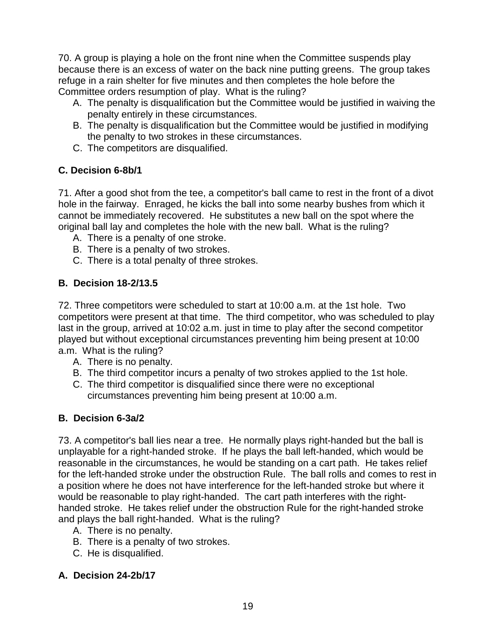70. A group is playing a hole on the front nine when the Committee suspends play because there is an excess of water on the back nine putting greens. The group takes refuge in a rain shelter for five minutes and then completes the hole before the Committee orders resumption of play. What is the ruling?

- A. The penalty is disqualification but the Committee would be justified in waiving the penalty entirely in these circumstances.
- B. The penalty is disqualification but the Committee would be justified in modifying the penalty to two strokes in these circumstances.
- C. The competitors are disqualified.

# **C. Decision 6-8b/1**

71. After a good shot from the tee, a competitor's ball came to rest in the front of a divot hole in the fairway. Enraged, he kicks the ball into some nearby bushes from which it cannot be immediately recovered. He substitutes a new ball on the spot where the original ball lay and completes the hole with the new ball. What is the ruling?

- A. There is a penalty of one stroke.
- B. There is a penalty of two strokes.
- C. There is a total penalty of three strokes.

# **B. Decision 18-2/13.5**

72. Three competitors were scheduled to start at 10:00 a.m. at the 1st hole. Two competitors were present at that time. The third competitor, who was scheduled to play last in the group, arrived at 10:02 a.m. just in time to play after the second competitor played but without exceptional circumstances preventing him being present at 10:00 a.m. What is the ruling?

- A. There is no penalty.
- B. The third competitor incurs a penalty of two strokes applied to the 1st hole.
- C. The third competitor is disqualified since there were no exceptional circumstances preventing him being present at 10:00 a.m.

# **B. Decision 6-3a/2**

73. A competitor's ball lies near a tree. He normally plays right-handed but the ball is unplayable for a right-handed stroke. If he plays the ball left-handed, which would be reasonable in the circumstances, he would be standing on a cart path. He takes relief for the left-handed stroke under the obstruction Rule. The ball rolls and comes to rest in a position where he does not have interference for the left-handed stroke but where it would be reasonable to play right-handed. The cart path interferes with the righthanded stroke. He takes relief under the obstruction Rule for the right-handed stroke and plays the ball right-handed. What is the ruling?

- A. There is no penalty.
- B. There is a penalty of two strokes.
- C. He is disqualified.

## **A. Decision 24-2b/17**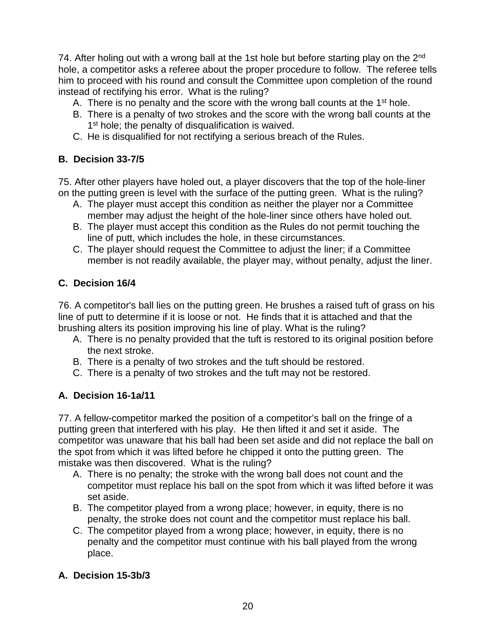74. After holing out with a wrong ball at the 1st hole but before starting play on the 2<sup>nd</sup> hole, a competitor asks a referee about the proper procedure to follow. The referee tells him to proceed with his round and consult the Committee upon completion of the round instead of rectifying his error. What is the ruling?

- A. There is no penalty and the score with the wrong ball counts at the  $1<sup>st</sup>$  hole.
- B. There is a penalty of two strokes and the score with the wrong ball counts at the 1<sup>st</sup> hole; the penalty of disqualification is waived.
- C. He is disqualified for not rectifying a serious breach of the Rules.

#### **B. Decision 33-7/5**

75. After other players have holed out, a player discovers that the top of the hole-liner on the putting green is level with the surface of the putting green. What is the ruling?

- A. The player must accept this condition as neither the player nor a Committee member may adjust the height of the hole-liner since others have holed out.
- B. The player must accept this condition as the Rules do not permit touching the line of putt, which includes the hole, in these circumstances.
- C. The player should request the Committee to adjust the liner; if a Committee member is not readily available, the player may, without penalty, adjust the liner.

## **C. Decision 16/4**

76. A competitor's ball lies on the putting green. He brushes a raised tuft of grass on his line of putt to determine if it is loose or not. He finds that it is attached and that the brushing alters its position improving his line of play. What is the ruling?

- A. There is no penalty provided that the tuft is restored to its original position before the next stroke.
- B. There is a penalty of two strokes and the tuft should be restored.
- C. There is a penalty of two strokes and the tuft may not be restored.

## **A. Decision 16-1a/11**

77. A fellow-competitor marked the position of a competitor's ball on the fringe of a putting green that interfered with his play. He then lifted it and set it aside. The competitor was unaware that his ball had been set aside and did not replace the ball on the spot from which it was lifted before he chipped it onto the putting green. The mistake was then discovered. What is the ruling?

- A. There is no penalty; the stroke with the wrong ball does not count and the competitor must replace his ball on the spot from which it was lifted before it was set aside.
- B. The competitor played from a wrong place; however, in equity, there is no penalty, the stroke does not count and the competitor must replace his ball.
- C. The competitor played from a wrong place; however, in equity, there is no penalty and the competitor must continue with his ball played from the wrong place.

## **A. Decision 15-3b/3**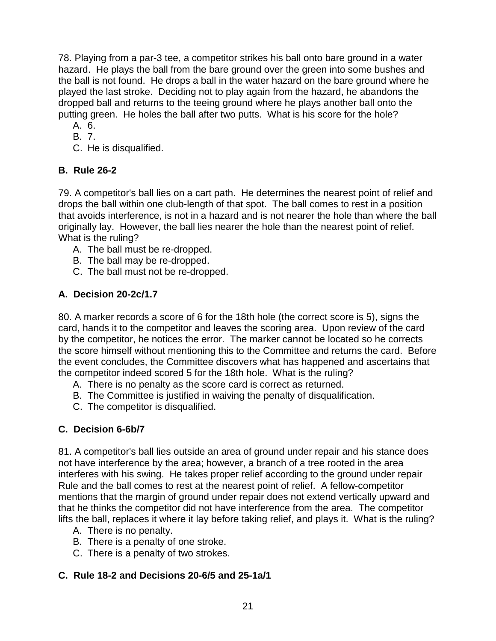78. Playing from a par-3 tee, a competitor strikes his ball onto bare ground in a water hazard. He plays the ball from the bare ground over the green into some bushes and the ball is not found. He drops a ball in the water hazard on the bare ground where he played the last stroke. Deciding not to play again from the hazard, he abandons the dropped ball and returns to the teeing ground where he plays another ball onto the putting green. He holes the ball after two putts. What is his score for the hole?

- A. 6.
- B. 7.
- C. He is disqualified.

# **B. Rule 26-2**

79. A competitor's ball lies on a cart path. He determines the nearest point of relief and drops the ball within one club-length of that spot. The ball comes to rest in a position that avoids interference, is not in a hazard and is not nearer the hole than where the ball originally lay. However, the ball lies nearer the hole than the nearest point of relief. What is the ruling?

- A. The ball must be re-dropped.
- B. The ball may be re-dropped.
- C. The ball must not be re-dropped.

# **A. Decision 20-2c/1.7**

80. A marker records a score of 6 for the 18th hole (the correct score is 5), signs the card, hands it to the competitor and leaves the scoring area. Upon review of the card by the competitor, he notices the error. The marker cannot be located so he corrects the score himself without mentioning this to the Committee and returns the card. Before the event concludes, the Committee discovers what has happened and ascertains that the competitor indeed scored 5 for the 18th hole. What is the ruling?

- A. There is no penalty as the score card is correct as returned.
- B. The Committee is justified in waiving the penalty of disqualification.
- C. The competitor is disqualified.

# **C. Decision 6-6b/7**

81. A competitor's ball lies outside an area of ground under repair and his stance does not have interference by the area; however, a branch of a tree rooted in the area interferes with his swing. He takes proper relief according to the ground under repair Rule and the ball comes to rest at the nearest point of relief. A fellow-competitor mentions that the margin of ground under repair does not extend vertically upward and that he thinks the competitor did not have interference from the area. The competitor lifts the ball, replaces it where it lay before taking relief, and plays it. What is the ruling?

- A. There is no penalty.
- B. There is a penalty of one stroke.
- C. There is a penalty of two strokes.

# **C. Rule 18-2 and Decisions 20-6/5 and 25-1a/1**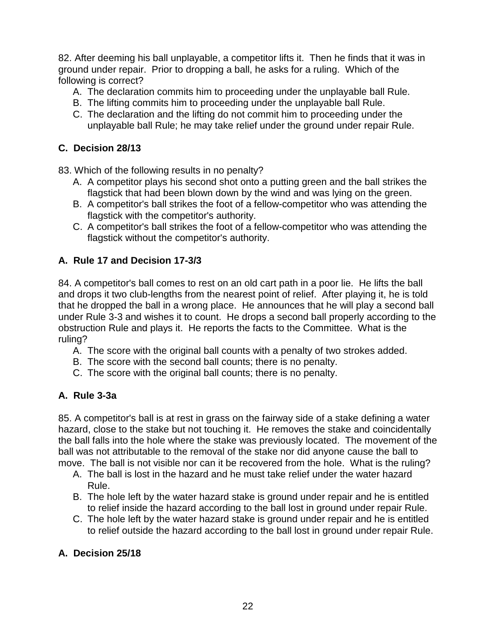82. After deeming his ball unplayable, a competitor lifts it. Then he finds that it was in ground under repair. Prior to dropping a ball, he asks for a ruling. Which of the following is correct?

- A. The declaration commits him to proceeding under the unplayable ball Rule.
- B. The lifting commits him to proceeding under the unplayable ball Rule.
- C. The declaration and the lifting do not commit him to proceeding under the unplayable ball Rule; he may take relief under the ground under repair Rule.

## **C. Decision 28/13**

83. Which of the following results in no penalty?

- A. A competitor plays his second shot onto a putting green and the ball strikes the flagstick that had been blown down by the wind and was lying on the green.
- B. A competitor's ball strikes the foot of a fellow-competitor who was attending the flagstick with the competitor's authority.
- C. A competitor's ball strikes the foot of a fellow-competitor who was attending the flagstick without the competitor's authority.

## **A. Rule 17 and Decision 17-3/3**

84. A competitor's ball comes to rest on an old cart path in a poor lie. He lifts the ball and drops it two club-lengths from the nearest point of relief. After playing it, he is told that he dropped the ball in a wrong place. He announces that he will play a second ball under Rule 3-3 and wishes it to count. He drops a second ball properly according to the obstruction Rule and plays it. He reports the facts to the Committee. What is the ruling?

- A. The score with the original ball counts with a penalty of two strokes added.
- B. The score with the second ball counts; there is no penalty.
- C. The score with the original ball counts; there is no penalty.

## **A. Rule 3-3a**

85. A competitor's ball is at rest in grass on the fairway side of a stake defining a water hazard, close to the stake but not touching it. He removes the stake and coincidentally the ball falls into the hole where the stake was previously located. The movement of the ball was not attributable to the removal of the stake nor did anyone cause the ball to move. The ball is not visible nor can it be recovered from the hole. What is the ruling?

- A. The ball is lost in the hazard and he must take relief under the water hazard Rule.
- B. The hole left by the water hazard stake is ground under repair and he is entitled to relief inside the hazard according to the ball lost in ground under repair Rule.
- C. The hole left by the water hazard stake is ground under repair and he is entitled to relief outside the hazard according to the ball lost in ground under repair Rule.

## **A. Decision 25/18**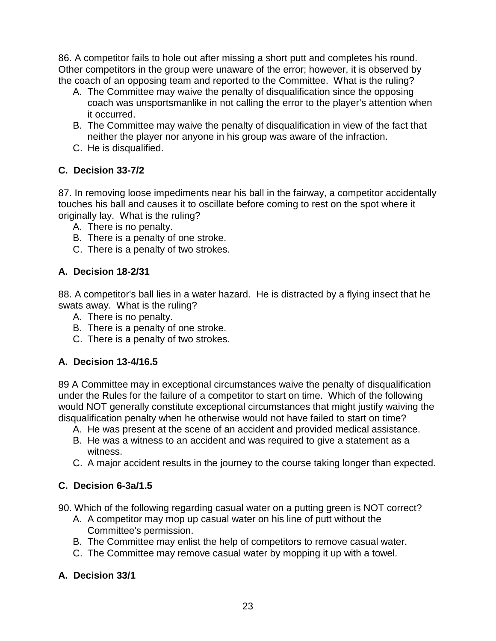86. A competitor fails to hole out after missing a short putt and completes his round. Other competitors in the group were unaware of the error; however, it is observed by the coach of an opposing team and reported to the Committee. What is the ruling?

- A. The Committee may waive the penalty of disqualification since the opposing coach was unsportsmanlike in not calling the error to the player's attention when it occurred.
- B. The Committee may waive the penalty of disqualification in view of the fact that neither the player nor anyone in his group was aware of the infraction.
- C. He is disqualified.

# **C. Decision 33-7/2**

87. In removing loose impediments near his ball in the fairway, a competitor accidentally touches his ball and causes it to oscillate before coming to rest on the spot where it originally lay. What is the ruling?

- A. There is no penalty.
- B. There is a penalty of one stroke.
- C. There is a penalty of two strokes.

# **A. Decision 18-2/31**

88. A competitor's ball lies in a water hazard. He is distracted by a flying insect that he swats away. What is the ruling?

- A. There is no penalty.
- B. There is a penalty of one stroke.
- C. There is a penalty of two strokes.

# **A. Decision 13-4/16.5**

89 A Committee may in exceptional circumstances waive the penalty of disqualification under the Rules for the failure of a competitor to start on time. Which of the following would NOT generally constitute exceptional circumstances that might justify waiving the disqualification penalty when he otherwise would not have failed to start on time?

- A. He was present at the scene of an accident and provided medical assistance.
- B. He was a witness to an accident and was required to give a statement as a witness.
- C. A major accident results in the journey to the course taking longer than expected.

# **C. Decision 6-3a/1.5**

90. Which of the following regarding casual water on a putting green is NOT correct?

- A. A competitor may mop up casual water on his line of putt without the Committee's permission.
- B. The Committee may enlist the help of competitors to remove casual water.
- C. The Committee may remove casual water by mopping it up with a towel.

# **A. Decision 33/1**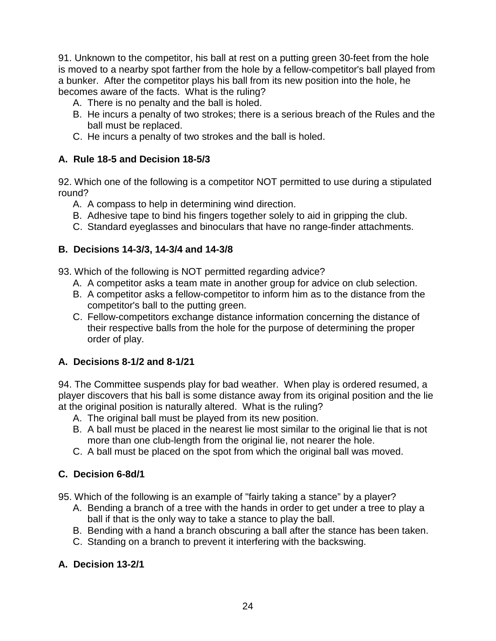91. Unknown to the competitor, his ball at rest on a putting green 30-feet from the hole is moved to a nearby spot farther from the hole by a fellow-competitor's ball played from a bunker. After the competitor plays his ball from its new position into the hole, he becomes aware of the facts. What is the ruling?

- A. There is no penalty and the ball is holed.
- B. He incurs a penalty of two strokes; there is a serious breach of the Rules and the ball must be replaced.
- C. He incurs a penalty of two strokes and the ball is holed.

## **A. Rule 18-5 and Decision 18-5/3**

92. Which one of the following is a competitor NOT permitted to use during a stipulated round?

- A. A compass to help in determining wind direction.
- B. Adhesive tape to bind his fingers together solely to aid in gripping the club.
- C. Standard eyeglasses and binoculars that have no range-finder attachments.

## **B. Decisions 14-3/3, 14-3/4 and 14-3/8**

93. Which of the following is NOT permitted regarding advice?

- A. A competitor asks a team mate in another group for advice on club selection.
- B. A competitor asks a fellow-competitor to inform him as to the distance from the competitor's ball to the putting green.
- C. Fellow-competitors exchange distance information concerning the distance of their respective balls from the hole for the purpose of determining the proper order of play.

## **A. Decisions 8-1/2 and 8-1/21**

94. The Committee suspends play for bad weather. When play is ordered resumed, a player discovers that his ball is some distance away from its original position and the lie at the original position is naturally altered. What is the ruling?

- A. The original ball must be played from its new position.
- B. A ball must be placed in the nearest lie most similar to the original lie that is not more than one club-length from the original lie, not nearer the hole.
- C. A ball must be placed on the spot from which the original ball was moved.

## **C. Decision 6-8d/1**

- 95. Which of the following is an example of "fairly taking a stance" by a player?
	- A. Bending a branch of a tree with the hands in order to get under a tree to play a ball if that is the only way to take a stance to play the ball.
	- B. Bending with a hand a branch obscuring a ball after the stance has been taken.
	- C. Standing on a branch to prevent it interfering with the backswing.

## **A. Decision 13-2/1**